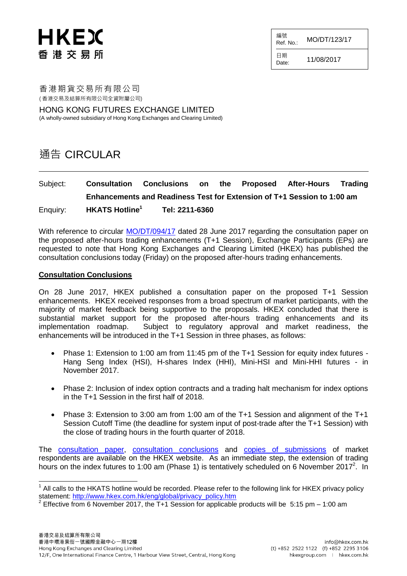#### 編號  $R$ ef. No.: MO/DT/123/17

HKEX 香港交易所

日期  $D_{\text{date}}$  11/08/2017

香港期貨交易所有限公司 ( 香港交易及結算所有限公司全資附屬公司)

HONG KONG FUTURES EXCHANGE LIMITED (A wholly-owned subsidiary of Hong Kong Exchanges and Clearing Limited)

## 通告 CIRCULAR

## Subject: **Consultation Conclusions on the Proposed After-Hours Trading Enhancements and Readiness Test for Extension of T+1 Session to 1:00 am** Enquiry: **HKATS Hotline<sup>1</sup> Tel: 2211-6360**

With reference to circular [MO/DT/094/17](http://www.hkex.com.hk/eng/market/partcir/hkfe/2017/Documents/MO_DT_094_17_e.pdf) dated 28 June 2017 regarding the consultation paper on the proposed after-hours trading enhancements (T+1 Session), Exchange Participants (EPs) are requested to note that Hong Kong Exchanges and Clearing Limited (HKEX) has published the consultation conclusions today (Friday) on the proposed after-hours trading enhancements.

#### **Consultation Conclusions**

On 28 June 2017, HKEX published a consultation paper on the proposed T+1 Session enhancements. HKEX received responses from a broad spectrum of market participants, with the majority of market feedback being supportive to the proposals. HKEX concluded that there is substantial market support for the proposed after-hours trading enhancements and its implementation roadmap. Subject to regulatory approval and market readiness, the enhancements will be introduced in the T+1 Session in three phases, as follows:

- Phase 1: Extension to 1:00 am from 11:45 pm of the T+1 Session for equity index futures Hang Seng Index (HSI), H-shares Index (HHI), Mini-HSI and Mini-HHI futures - in November 2017.
- Phase 2: Inclusion of index option contracts and a trading halt mechanism for index options in the T+1 Session in the first half of 2018.
- Phase 3: Extension to 3:00 am from 1:00 am of the T+1 Session and alignment of the T+1 Session Cutoff Time (the deadline for system input of post-trade after the T+1 Session) with the close of trading hours in the fourth quarter of 2018.

The [consultation paper,](http://www.hkex.com.hk/eng/newsconsul/mktconsul/Documents/cp2017063.pdf) [consultation conclusions](http://www.hkex.com.hk/eng/newsconsul/mktconsul/Documents/cp2017063cc.pdf) and [copies of submissions](http://www.hkex.com.hk/eng/newsconsul/mktconsul/responses/cp2017063r.htm) of market respondents are available on the HKEX website. As an immediate step, the extension of trading hours on the index futures to 1:00 am (Phase 1) is tentatively scheduled on 6 November 2017<sup>2</sup>. In

THE TRIM CALL CHE TO THE TOTAL THE TOTAL THE TOTAL THE TOTAL THE TOTAL THE TOTAL THE TOTAL THE TOTAL THE TOTAL<br>THE TRIM CALL THE FOLLOWING IN EXTINCT THE TOTAL POLICY POIDS TO THE TOTAL THE TOTAL THE TOTAL THE TOTAL THE T statement: [http://www.hkex.com.hk/eng/global/privacy\\_policy.htm](http://www.hkex.com.hk/eng/global/privacy_policy.htm)

<sup>&</sup>lt;sup>2</sup> Effective from 6 November 2017, the T+1 Session for applicable products will be 5:15 pm – 1:00 am